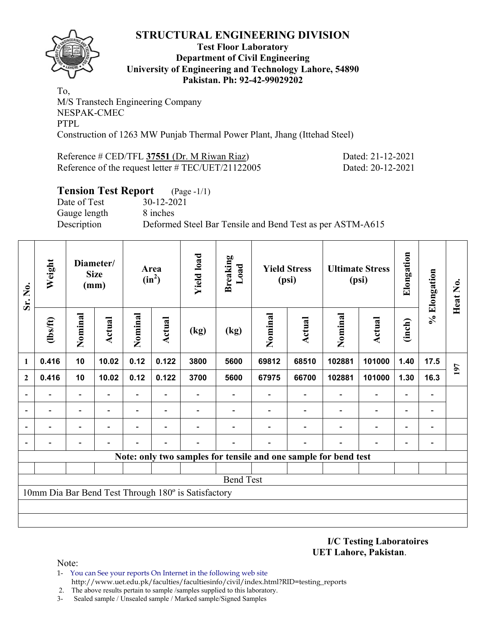

#### **Test Floor Laboratory Department of Civil Engineering University of Engineering and Technology Lahore, 54890 Pakistan. Ph: 92-42-99029202**

To, M/S Transtech Engineering Company NESPAK-CMEC PTPL Construction of 1263 MW Punjab Thermal Power Plant, Jhang (Ittehad Steel)

Reference # CED/TFL **37551** (Dr. M Riwan Riaz) Dated: 21-12-2021

Reference of the request letter # TEC/UET/21122005 Dated: 20-12-2021

# **Tension Test Report** (Page -1/1) Date of Test 30-12-2021 Gauge length 8 inches Description Deformed Steel Bar Tensile and Bend Test as per ASTM-A615

| Sr. No.      | Weight                                              |                          | Diameter/<br><b>Size</b><br>(mm) |         | Area<br>$(in^2)$         | <b>Yield load</b> | <b>Breaking</b><br>Load                                         | <b>Yield Stress</b><br>(psi) |               | <b>Ultimate Stress</b><br>(psi) |                          | Elongation     | % Elongation                 | Heat No. |
|--------------|-----------------------------------------------------|--------------------------|----------------------------------|---------|--------------------------|-------------------|-----------------------------------------------------------------|------------------------------|---------------|---------------------------------|--------------------------|----------------|------------------------------|----------|
|              | (1bs/ft)                                            | Nominal                  | Actual                           | Nominal | Actual                   | (kg)              | (kg)                                                            | Nominal                      | <b>Actual</b> | Nominal                         | <b>Actual</b>            | (inch)         |                              |          |
| 1            | 0.416                                               | 10                       | 10.02                            | 0.12    | 0.122                    | 3800              | 5600                                                            | 69812                        | 68510         | 102881                          | 101000                   | 1.40           | 17.5                         | 197      |
| $\mathbf{2}$ | 0.416                                               | 10                       | 10.02                            | 0.12    | 0.122                    | 3700              | 5600                                                            | 67975                        | 66700         | 102881                          | 101000                   | 1.30           | 16.3                         |          |
|              |                                                     | $\overline{\phantom{0}}$ |                                  | ٠       |                          |                   |                                                                 |                              |               |                                 |                          |                | $\qquad \qquad \blacksquare$ |          |
|              | $\blacksquare$                                      | $\overline{\phantom{0}}$ |                                  | Ξ.      | $\overline{\phantom{a}}$ |                   |                                                                 |                              |               |                                 | $\overline{\phantom{a}}$ | $\blacksquare$ | $\qquad \qquad \blacksquare$ |          |
|              |                                                     | $\overline{\phantom{0}}$ |                                  |         |                          |                   |                                                                 |                              |               |                                 |                          |                |                              |          |
|              |                                                     |                          |                                  |         |                          |                   |                                                                 |                              |               |                                 |                          |                | -                            |          |
|              |                                                     |                          |                                  |         |                          |                   | Note: only two samples for tensile and one sample for bend test |                              |               |                                 |                          |                |                              |          |
|              |                                                     |                          |                                  |         |                          |                   |                                                                 |                              |               |                                 |                          |                |                              |          |
|              |                                                     |                          |                                  |         |                          |                   | <b>Bend Test</b>                                                |                              |               |                                 |                          |                |                              |          |
|              | 10mm Dia Bar Bend Test Through 180° is Satisfactory |                          |                                  |         |                          |                   |                                                                 |                              |               |                                 |                          |                |                              |          |
|              |                                                     |                          |                                  |         |                          |                   |                                                                 |                              |               |                                 |                          |                |                              |          |
|              |                                                     |                          |                                  |         |                          |                   |                                                                 |                              |               |                                 |                          |                |                              |          |

**I/C Testing Laboratoires UET Lahore, Pakistan**.

- 1- You can See your reports On Internet in the following web site http://www.uet.edu.pk/faculties/facultiesinfo/civil/index.html?RID=testing\_reports
- 2. The above results pertain to sample /samples supplied to this laboratory.
- 3- Sealed sample / Unsealed sample / Marked sample/Signed Samples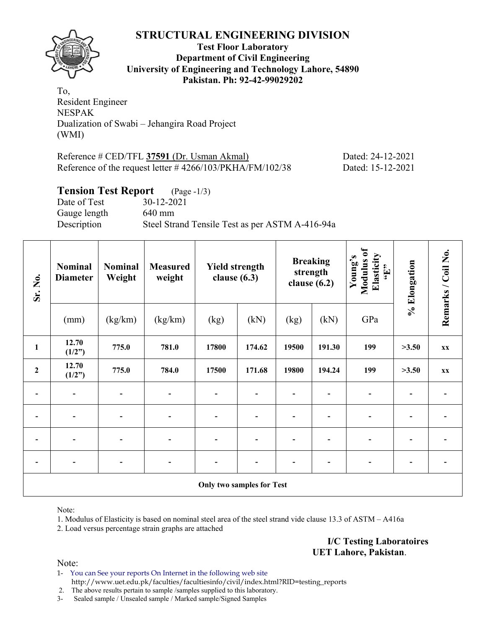

**Test Floor Laboratory Department of Civil Engineering University of Engineering and Technology Lahore, 54890 Pakistan. Ph: 92-42-99029202** 

To, Resident Engineer NESPAK Dualization of Swabi – Jehangira Road Project (WMI)

| Reference # CED/TFL 37591 (Dr. Usman Akmal)                  | Dated: 24-12-2021 |
|--------------------------------------------------------------|-------------------|
| Reference of the request letter $\#$ 4266/103/PKHA/FM/102/38 | Dated: 15-12-2021 |

## **Tension Test Report** (Page -1/3)

Date of Test 30-12-2021 Gauge length 640 mm Description Steel Strand Tensile Test as per ASTM A-416-94a

| Sr. No.          | <b>Nominal</b><br><b>Diameter</b> | <b>Nominal</b><br>Weight     | <b>Measured</b><br>weight | <b>Yield strength</b><br>clause $(6.3)$ |        | <b>Breaking</b><br>strength<br>clause $(6.2)$ |        | Modulus of<br>Elasticity<br>Young's<br>$\epsilon$ . T., | % Elongation             | Remarks / Coil No. |  |  |
|------------------|-----------------------------------|------------------------------|---------------------------|-----------------------------------------|--------|-----------------------------------------------|--------|---------------------------------------------------------|--------------------------|--------------------|--|--|
|                  | (mm)                              | (kg/km)                      | (kg/km)                   | (kN)<br>(kg)                            |        | (kN)<br>(kg)                                  |        | GPa                                                     |                          |                    |  |  |
| $\mathbf{1}$     | 12.70<br>(1/2")                   | 775.0                        | 781.0                     | 17800                                   | 174.62 | 19500                                         | 191.30 | 199                                                     | >3.50                    | XX                 |  |  |
| $\boldsymbol{2}$ | 12.70<br>(1/2")                   | 775.0                        | 784.0                     | 17500                                   | 171.68 | 19800                                         | 194.24 | 199                                                     | >3.50                    | XX                 |  |  |
|                  | $\overline{\phantom{a}}$          |                              |                           |                                         |        |                                               |        |                                                         |                          |                    |  |  |
|                  |                                   |                              |                           |                                         |        |                                               |        |                                                         |                          |                    |  |  |
|                  | $\overline{\phantom{0}}$          | $\qquad \qquad \blacksquare$ | $\overline{\phantom{0}}$  | ۳                                       |        |                                               |        |                                                         |                          |                    |  |  |
| $\blacksquare$   | $\overline{\phantom{a}}$          | $\blacksquare$               | $\overline{\phantom{0}}$  | $\overline{\phantom{0}}$                |        |                                               | -      | $\qquad \qquad \blacksquare$                            | $\overline{\phantom{0}}$ |                    |  |  |
|                  | <b>Only two samples for Test</b>  |                              |                           |                                         |        |                                               |        |                                                         |                          |                    |  |  |

Note:

1. Modulus of Elasticity is based on nominal steel area of the steel strand vide clause 13.3 of ASTM – A416a

2. Load versus percentage strain graphs are attached

**I/C Testing Laboratoires UET Lahore, Pakistan**.

Note:

1- You can See your reports On Internet in the following web site http://www.uet.edu.pk/faculties/facultiesinfo/civil/index.html?RID=testing\_reports

2. The above results pertain to sample /samples supplied to this laboratory.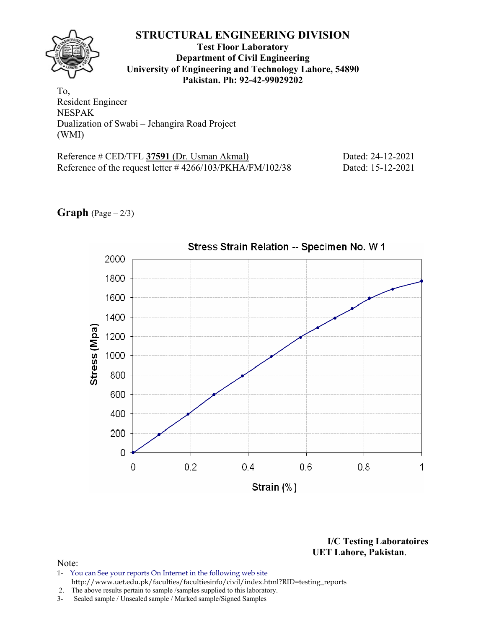## **Test Floor Laboratory Department of Civil Engineering University of Engineering and Technology Lahore, 54890 Pakistan. Ph: 92-42-99029202**

To, Resident Engineer NESPAK Dualization of Swabi – Jehangira Road Project (WMI)

| Reference # CED/TFL 37591 (Dr. Usman Akmal)                  | Dated: 24-12-2021 |
|--------------------------------------------------------------|-------------------|
| Reference of the request letter $\#$ 4266/103/PKHA/FM/102/38 | Dated: 15-12-2021 |





**I/C Testing Laboratoires UET Lahore, Pakistan**.

- 1- You can See your reports On Internet in the following web site http://www.uet.edu.pk/faculties/facultiesinfo/civil/index.html?RID=testing\_reports
- 2. The above results pertain to sample /samples supplied to this laboratory.
- 3- Sealed sample / Unsealed sample / Marked sample/Signed Samples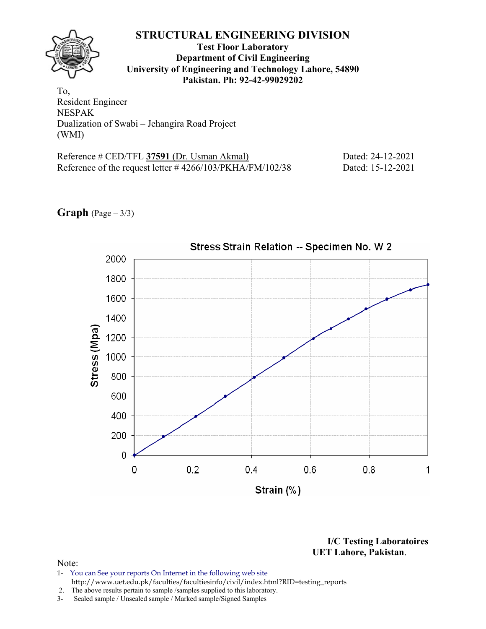## **Test Floor Laboratory Department of Civil Engineering University of Engineering and Technology Lahore, 54890 Pakistan. Ph: 92-42-99029202**

To, Resident Engineer NESPAK Dualization of Swabi – Jehangira Road Project (WMI)

| Reference # CED/TFL 37591 (Dr. Usman Akmal)                  | Dated: 24-12-2021 |
|--------------------------------------------------------------|-------------------|
| Reference of the request letter $\#$ 4266/103/PKHA/FM/102/38 | Dated: 15-12-2021 |





**I/C Testing Laboratoires UET Lahore, Pakistan**.

- 1- You can See your reports On Internet in the following web site http://www.uet.edu.pk/faculties/facultiesinfo/civil/index.html?RID=testing\_reports
- 2. The above results pertain to sample / samples supplied to this laboratory.<br>3- Sealed sample / Unsealed sample / Marked sample/Signed Samples
- Sealed sample / Unsealed sample / Marked sample/Signed Samples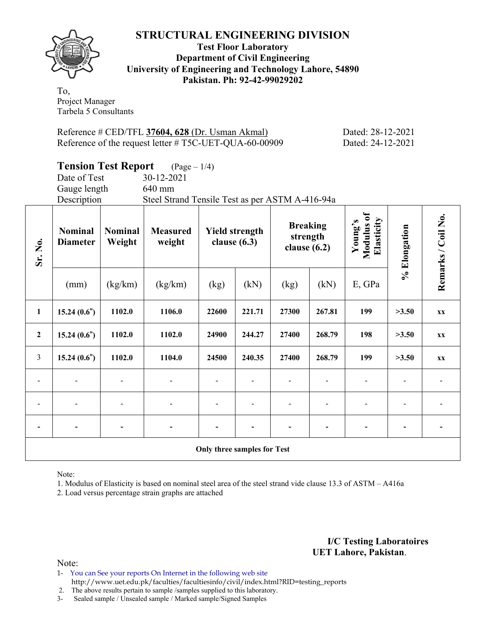

**Test Floor Laboratory Department of Civil Engineering University of Engineering and Technology Lahore, 54890 Pakistan. Ph: 92-42-99029202** 

To, Project Manager Tarbela 5 Consultants

Reference # CED/TFL **37604, 628** (Dr. Usman Akmal) Dated: 28-12-2021 Reference of the request letter # T5C-UET-QUA-60-00909 Dated: 24-12-2021

|                | <b>Tension Test Report</b>                                    |         | $(Page - 1/4)$                                  |                |                       |                                               |        |                                     |              |                    |
|----------------|---------------------------------------------------------------|---------|-------------------------------------------------|----------------|-----------------------|-----------------------------------------------|--------|-------------------------------------|--------------|--------------------|
|                | Date of Test                                                  |         | 30-12-2021                                      |                |                       |                                               |        |                                     |              |                    |
|                | Gauge length                                                  |         | 640 mm                                          |                |                       |                                               |        |                                     |              |                    |
|                | Description                                                   |         | Steel Strand Tensile Test as per ASTM A-416-94a |                |                       |                                               |        |                                     |              |                    |
| Sr. No.        | <b>Nominal</b><br><b>Nominal</b><br>Weight<br><b>Diameter</b> |         | <b>Measured</b><br>weight                       | clause $(6.3)$ | <b>Yield strength</b> | <b>Breaking</b><br>strength<br>clause $(6.2)$ |        | Modulus of<br>Elasticity<br>Young's | % Elongation | Remarks / Coil No. |
|                | (mm)                                                          | (kg/km) | (kg/km)                                         | (kg)           | (kN)                  | (kg)                                          | (kN)   | E, GPa                              |              |                    |
| $\mathbf{1}$   | 15.24(0.6")                                                   | 1102.0  | 1106.0                                          | 22600          | 221.71                | 27300                                         | 267.81 | 199                                 | >3.50        | <b>XX</b>          |
| $\overline{2}$ | 15.24(0.6")                                                   | 1102.0  | 1102.0                                          | 24900          | 244.27                | 27400                                         | 268.79 | 198                                 | >3.50        | XX                 |
| $\mathfrak{Z}$ | 15.24(0.6")                                                   | 1102.0  | 1104.0                                          | 24500          | 240.35                | 27400                                         | 268.79 | 199                                 | >3.50        | XX                 |
|                |                                                               |         |                                                 |                |                       |                                               |        |                                     |              |                    |
|                |                                                               |         |                                                 |                |                       |                                               |        |                                     |              |                    |

**Only three samples for Test** 

**- - - - - - - - - - -** 

Note:

1. Modulus of Elasticity is based on nominal steel area of the steel strand vide clause 13.3 of ASTM – A416a

2. Load versus percentage strain graphs are attached

**I/C Testing Laboratoires UET Lahore, Pakistan**.

Note:

1- You can See your reports On Internet in the following web site http://www.uet.edu.pk/faculties/facultiesinfo/civil/index.html?RID=testing\_reports

2. The above results pertain to sample /samples supplied to this laboratory.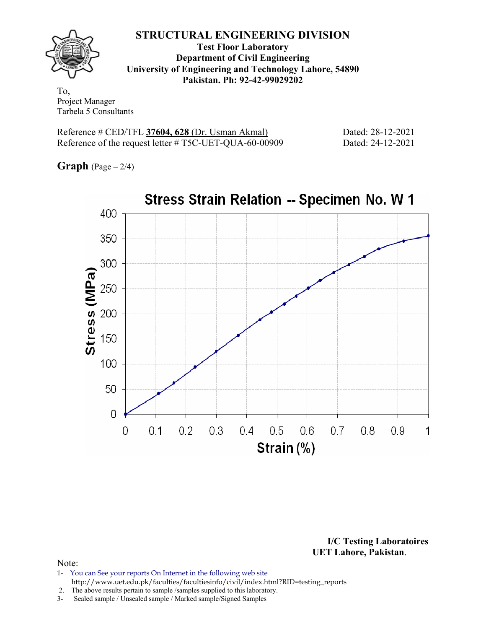

**Test Floor Laboratory Department of Civil Engineering University of Engineering and Technology Lahore, 54890 Pakistan. Ph: 92-42-99029202** 

To, Project Manager Tarbela 5 Consultants

Reference # CED/TFL **37604, 628** (Dr. Usman Akmal) Dated: 28-12-2021 Reference of the request letter # T5C-UET-QUA-60-00909 Dated: 24-12-2021

**Graph**  $(Page - 2/4)$ 



**I/C Testing Laboratoires UET Lahore, Pakistan**.

- 1- You can See your reports On Internet in the following web site http://www.uet.edu.pk/faculties/facultiesinfo/civil/index.html?RID=testing\_reports
- 2. The above results pertain to sample /samples supplied to this laboratory.
- 3- Sealed sample / Unsealed sample / Marked sample/Signed Samples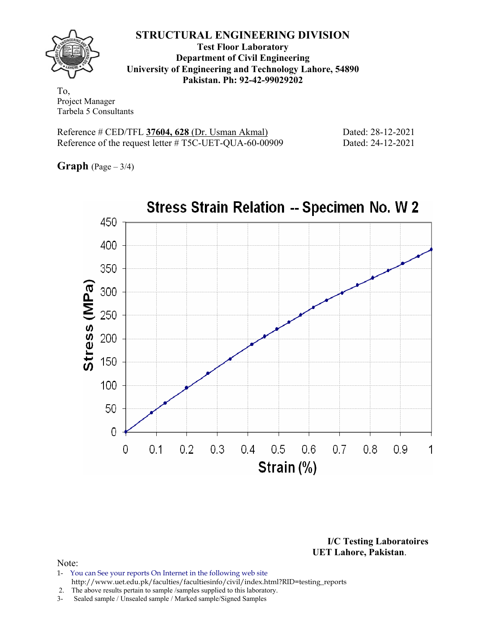

**Test Floor Laboratory Department of Civil Engineering University of Engineering and Technology Lahore, 54890 Pakistan. Ph: 92-42-99029202** 

To, Project Manager Tarbela 5 Consultants

Reference # CED/TFL **37604, 628** (Dr. Usman Akmal) Dated: 28-12-2021 Reference of the request letter # T5C-UET-QUA-60-00909 Dated: 24-12-2021

**Graph**  $(Page - 3/4)$ 



**I/C Testing Laboratoires UET Lahore, Pakistan**.

- 1- You can See your reports On Internet in the following web site http://www.uet.edu.pk/faculties/facultiesinfo/civil/index.html?RID=testing\_reports
- 2. The above results pertain to sample /samples supplied to this laboratory.
- 3- Sealed sample / Unsealed sample / Marked sample/Signed Samples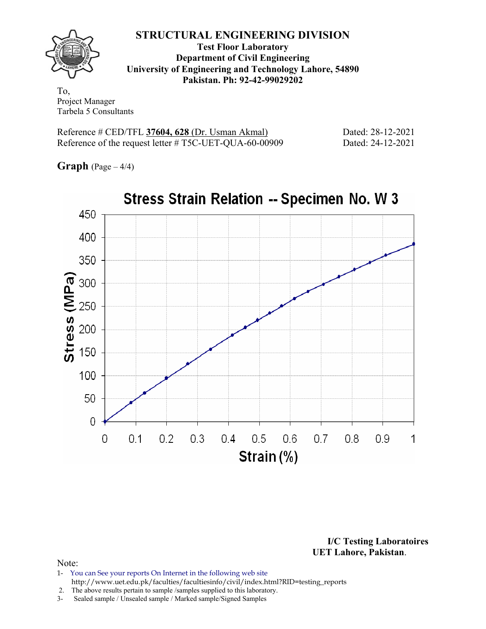

**Test Floor Laboratory Department of Civil Engineering University of Engineering and Technology Lahore, 54890 Pakistan. Ph: 92-42-99029202** 

To, Project Manager Tarbela 5 Consultants

Reference # CED/TFL **37604, 628** (Dr. Usman Akmal) Dated: 28-12-2021 Reference of the request letter # T5C-UET-QUA-60-00909 Dated: 24-12-2021

**Graph** (Page – 4/4)



**I/C Testing Laboratoires UET Lahore, Pakistan**.

- 1- You can See your reports On Internet in the following web site http://www.uet.edu.pk/faculties/facultiesinfo/civil/index.html?RID=testing\_reports
- 2. The above results pertain to sample /samples supplied to this laboratory.
- 3- Sealed sample / Unsealed sample / Marked sample/Signed Samples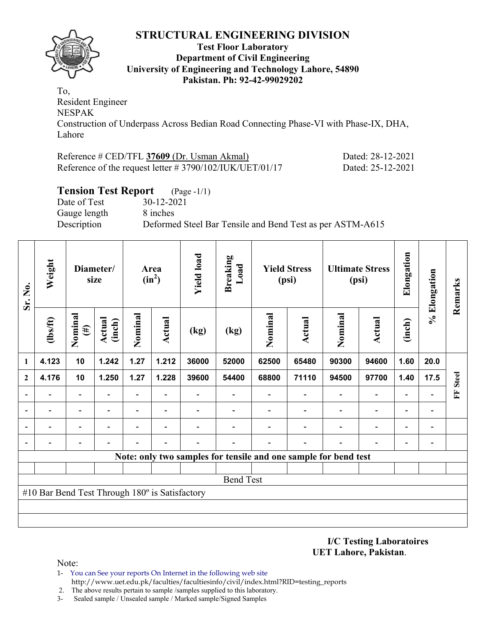

#### **Test Floor Laboratory Department of Civil Engineering University of Engineering and Technology Lahore, 54890 Pakistan. Ph: 92-42-99029202**

To, Resident Engineer NESPAK Construction of Underpass Across Bedian Road Connecting Phase-VI with Phase-IX, DHA, Lahore

| Reference # CED/TFL 37609 (Dr. Usman Akmal)                 | Dated: 28-12-2021 |
|-------------------------------------------------------------|-------------------|
| Reference of the request letter $\# 3790/102/IUK/UET/01/17$ | Dated: 25-12-2021 |

# **Tension Test Report** (Page -1/1)

Date of Test 30-12-2021 Gauge length 8 inches

Description Deformed Steel Bar Tensile and Bend Test as per ASTM-A615

| Sr. No.        | Weight                                         |                          | Diameter/<br>size       | <b>Yield load</b><br>Area<br>$(in^2)$ |        | <b>Breaking</b><br>Load | <b>Yield Stress</b><br>(psi) |         | <b>Ultimate Stress</b><br>(psi)                                 |         | Elongation                   | % Elongation | Remarks        |              |
|----------------|------------------------------------------------|--------------------------|-------------------------|---------------------------------------|--------|-------------------------|------------------------------|---------|-----------------------------------------------------------------|---------|------------------------------|--------------|----------------|--------------|
|                | $\frac{2}{10}$                                 | Nominal<br>$(\#)$        | <b>Actual</b><br>(inch) | Nominal                               | Actual | (kg)                    | (kg)                         | Nominal | <b>Actual</b>                                                   | Nominal | <b>Actual</b>                | (inch)       |                |              |
| $\mathbf{1}$   | 4.123                                          | 10                       | 1.242                   | 1.27                                  | 1.212  | 36000                   | 52000                        | 62500   | 65480                                                           | 90300   | 94600                        | 1.60         | 20.0           |              |
| $\mathbf{2}$   | 4.176                                          | 10                       | 1.250                   | 1.27                                  | 1.228  | 39600                   | 54400                        | 68800   | 71110                                                           | 94500   | 97700                        | 1.40         | 17.5           | <b>Steel</b> |
|                |                                                | $\overline{\phantom{a}}$ |                         | $\overline{\phantom{0}}$              |        |                         |                              |         |                                                                 |         | $\qquad \qquad \blacksquare$ |              |                | EF           |
|                |                                                | $\blacksquare$           |                         | $\blacksquare$                        | ۰      |                         |                              |         |                                                                 |         | $\overline{\phantom{a}}$     |              |                |              |
|                |                                                |                          |                         |                                       |        |                         |                              |         |                                                                 |         |                              |              | $\overline{a}$ |              |
| $\overline{a}$ |                                                |                          |                         |                                       |        |                         |                              |         |                                                                 |         |                              |              | $\overline{a}$ |              |
|                |                                                |                          |                         |                                       |        |                         |                              |         | Note: only two samples for tensile and one sample for bend test |         |                              |              |                |              |
|                |                                                |                          |                         |                                       |        |                         |                              |         |                                                                 |         |                              |              |                |              |
|                |                                                |                          |                         |                                       |        |                         | <b>Bend Test</b>             |         |                                                                 |         |                              |              |                |              |
|                | #10 Bar Bend Test Through 180° is Satisfactory |                          |                         |                                       |        |                         |                              |         |                                                                 |         |                              |              |                |              |
|                |                                                |                          |                         |                                       |        |                         |                              |         |                                                                 |         |                              |              |                |              |
|                |                                                |                          |                         |                                       |        |                         |                              |         |                                                                 |         |                              |              |                |              |

**I/C Testing Laboratoires UET Lahore, Pakistan**.

- 1- You can See your reports On Internet in the following web site http://www.uet.edu.pk/faculties/facultiesinfo/civil/index.html?RID=testing\_reports
- 2. The above results pertain to sample /samples supplied to this laboratory.
- 3- Sealed sample / Unsealed sample / Marked sample/Signed Samples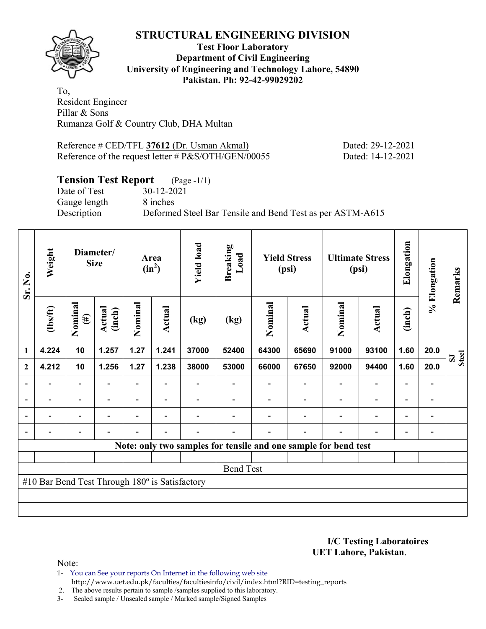

#### **Test Floor Laboratory Department of Civil Engineering University of Engineering and Technology Lahore, 54890 Pakistan. Ph: 92-42-99029202**

To, Resident Engineer Pillar & Sons Rumanza Golf & Country Club, DHA Multan

Reference # CED/TFL **37612** (Dr. Usman Akmal) Dated: 29-12-2021 Reference of the request letter # P&S/OTH/GEN/00055 Dated: 14-12-2021

# **Tension Test Report** (Page -1/1)

Date of Test 30-12-2021 Gauge length 8 inches

Description Deformed Steel Bar Tensile and Bend Test as per ASTM-A615

| Sr. No.                  | Weight                                         |                          | Diameter/<br><b>Size</b> |                | Area<br>$(in^2)$         | <b>Yield load</b> | <b>Breaking</b><br>Load | <b>Yield Stress</b><br>(psi) |                                                                 | <b>Ultimate Stress</b><br>(psi) |                          | Elongation               |                              | Remarks                     |
|--------------------------|------------------------------------------------|--------------------------|--------------------------|----------------|--------------------------|-------------------|-------------------------|------------------------------|-----------------------------------------------------------------|---------------------------------|--------------------------|--------------------------|------------------------------|-----------------------------|
|                          | $\frac{2}{10}$                                 | Nominal<br>$(\#)$        | Actual<br>(inch)         | Nominal        | Actual                   | (kg)              | (kg)                    | Nominal                      | <b>Actual</b>                                                   | Nominal                         | <b>Actual</b>            | (inch)                   | % Elongation                 |                             |
| 1                        | 4.224                                          | 10                       | 1.257                    | 1.27           | 1.241                    | 37000             | 52400                   | 64300                        | 65690                                                           | 91000                           | 93100                    | 1.60                     | 20.0                         | <b>Steel</b><br>$\mathbf S$ |
| $\mathbf{2}$             | 4.212                                          | 10                       | 1.256                    | 1.27           | 1.238                    | 38000             | 53000                   | 66000                        | 67650                                                           | 92000                           | 94400                    | 1.60                     | 20.0                         |                             |
|                          |                                                | $\overline{\phantom{0}}$ |                          |                |                          |                   |                         |                              |                                                                 |                                 | $\overline{a}$           | $\overline{a}$           |                              |                             |
| $\overline{\phantom{a}}$ | $\overline{\phantom{0}}$                       | $\blacksquare$           | $\blacksquare$           |                | $\blacksquare$           |                   |                         |                              |                                                                 | $\overline{\phantom{a}}$        | $\overline{\phantom{a}}$ | $\overline{\phantom{a}}$ | $\blacksquare$               |                             |
| $\blacksquare$           | Ξ.                                             | $\overline{\phantom{a}}$ | $\blacksquare$           | $\blacksquare$ | $\overline{\phantom{a}}$ |                   |                         |                              |                                                                 | ۰                               | $\overline{\phantom{0}}$ | $\overline{\phantom{0}}$ | $\blacksquare$               |                             |
|                          |                                                | -                        |                          |                | $\blacksquare$           | -                 |                         |                              | $\overline{\phantom{0}}$                                        | $\overline{\phantom{0}}$        | $\overline{a}$           | $\overline{\phantom{0}}$ | $\qquad \qquad \blacksquare$ |                             |
|                          |                                                |                          |                          |                |                          |                   |                         |                              | Note: only two samples for tensile and one sample for bend test |                                 |                          |                          |                              |                             |
|                          |                                                |                          |                          |                |                          |                   |                         |                              |                                                                 |                                 |                          |                          |                              |                             |
|                          | <b>Bend Test</b>                               |                          |                          |                |                          |                   |                         |                              |                                                                 |                                 |                          |                          |                              |                             |
|                          | #10 Bar Bend Test Through 180° is Satisfactory |                          |                          |                |                          |                   |                         |                              |                                                                 |                                 |                          |                          |                              |                             |
|                          |                                                |                          |                          |                |                          |                   |                         |                              |                                                                 |                                 |                          |                          |                              |                             |
|                          |                                                |                          |                          |                |                          |                   |                         |                              |                                                                 |                                 |                          |                          |                              |                             |

**I/C Testing Laboratoires UET Lahore, Pakistan**.

Note:

1- You can See your reports On Internet in the following web site http://www.uet.edu.pk/faculties/facultiesinfo/civil/index.html?RID=testing\_reports

2. The above results pertain to sample /samples supplied to this laboratory.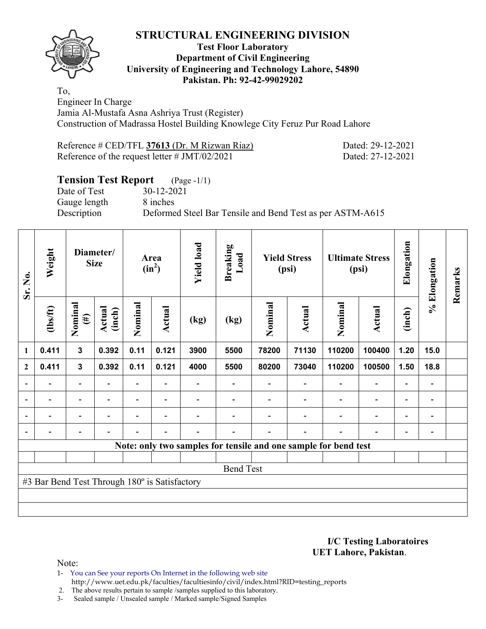

#### **Test Floor Laboratory Department of Civil Engineering University of Engineering and Technology Lahore, 54890 Pakistan. Ph: 92-42-99029202**

To, Engineer In Charge Jamia Al-Mustafa Asna Ashriya Trust (Register) Construction of Madrassa Hostel Building Knowlege City Feruz Pur Road Lahore

| Reference # CED/TFL 37613 (Dr. M Rizwan Riaz)   | Dated: 29-12-2021 |
|-------------------------------------------------|-------------------|
| Reference of the request letter # $JMT/02/2021$ | Dated: 27-12-2021 |

# **Tension Test Report** (Page -1/1)

Date of Test 30-12-2021 Gauge length 8 inches

Description Deformed Steel Bar Tensile and Bend Test as per ASTM-A615

| Sr. No.      | Weight                                        | Diameter/<br><b>Size</b> |                  | Area<br>$(in^2)$ |                          | <b>Yield load</b>        | <b>Breaking</b><br>Load | <b>Yield Stress</b><br>(psi) |                          | <b>Ultimate Stress</b><br>(psi)                                 |                          | Elongation               | % Elongation                 | Remarks |
|--------------|-----------------------------------------------|--------------------------|------------------|------------------|--------------------------|--------------------------|-------------------------|------------------------------|--------------------------|-----------------------------------------------------------------|--------------------------|--------------------------|------------------------------|---------|
|              | $\frac{2}{10}$                                | Nominal<br>$(\#)$        | Actual<br>(inch) | Nominal          | Actual                   | (kg)                     | (kg)                    | Nominal                      | Actual                   | Nominal                                                         | Actual                   | (inch)                   |                              |         |
| 1            | 0.411                                         | $\mathbf{3}$             | 0.392            | 0.11             | 0.121                    | 3900                     | 5500                    | 78200                        | 71130                    | 110200                                                          | 100400                   | 1.20                     | 15.0                         |         |
| $\mathbf{2}$ | 0.411                                         | $\mathbf{3}$             | 0.392            | 0.11             | 0.121                    | 4000                     | 5500                    | 80200                        | 73040                    | 110200                                                          | 100500                   | 1.50                     | 18.8                         |         |
|              |                                               | $\overline{\phantom{0}}$ |                  |                  |                          |                          |                         |                              | $\blacksquare$           |                                                                 | $\overline{\phantom{0}}$ | $\overline{\phantom{0}}$ |                              |         |
|              | $\overline{\phantom{0}}$                      | $\overline{\phantom{a}}$ | $\blacksquare$   |                  | $\blacksquare$           |                          |                         |                              | $\blacksquare$           | $\blacksquare$                                                  | $\overline{a}$           | $\overline{\phantom{0}}$ | $\blacksquare$               |         |
|              | $\overline{\phantom{0}}$                      | $\overline{\phantom{a}}$ |                  | $\blacksquare$   | $\overline{\phantom{a}}$ | $\blacksquare$           |                         |                              | $\blacksquare$           | $\blacksquare$                                                  | $\overline{\phantom{0}}$ | $\overline{\phantom{0}}$ | $\qquad \qquad \blacksquare$ |         |
|              | $\overline{\phantom{0}}$                      | $\overline{\phantom{a}}$ |                  | -                | $\overline{\phantom{0}}$ | $\overline{\phantom{0}}$ |                         |                              | $\overline{\phantom{0}}$ | $\overline{\phantom{0}}$                                        | $\overline{\phantom{0}}$ | $\overline{\phantom{a}}$ | $\qquad \qquad \blacksquare$ |         |
|              |                                               |                          |                  |                  |                          |                          |                         |                              |                          | Note: only two samples for tensile and one sample for bend test |                          |                          |                              |         |
|              |                                               |                          |                  |                  |                          |                          |                         |                              |                          |                                                                 |                          |                          |                              |         |
|              |                                               |                          |                  |                  |                          |                          | <b>Bend Test</b>        |                              |                          |                                                                 |                          |                          |                              |         |
|              | #3 Bar Bend Test Through 180° is Satisfactory |                          |                  |                  |                          |                          |                         |                              |                          |                                                                 |                          |                          |                              |         |
|              |                                               |                          |                  |                  |                          |                          |                         |                              |                          |                                                                 |                          |                          |                              |         |
|              |                                               |                          |                  |                  |                          |                          |                         |                              |                          |                                                                 |                          |                          |                              |         |

**I/C Testing Laboratoires UET Lahore, Pakistan**.

Note:

1- You can See your reports On Internet in the following web site http://www.uet.edu.pk/faculties/facultiesinfo/civil/index.html?RID=testing\_reports

2. The above results pertain to sample /samples supplied to this laboratory.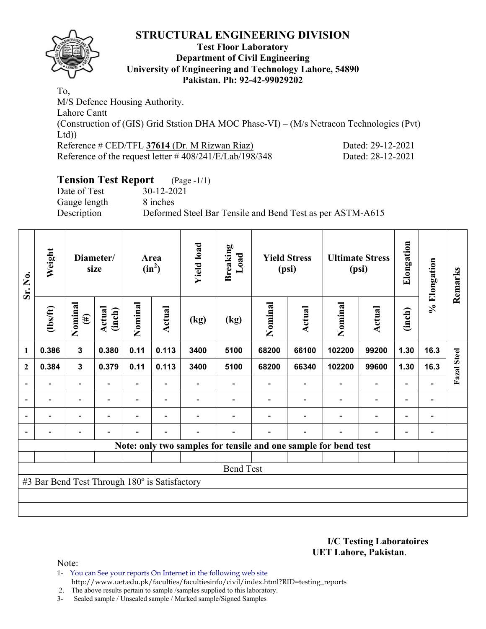

#### **Test Floor Laboratory Department of Civil Engineering University of Engineering and Technology Lahore, 54890 Pakistan. Ph: 92-42-99029202**

To, M/S Defence Housing Authority. Lahore Cantt (Construction of (GIS) Grid Ststion DHA MOC Phase-VI) – (M/s Netracon Technologies (Pvt) Ltd)) Reference # CED/TFL 37614 (Dr. M Rizwan Riaz) Dated: 29-12-2021 Reference of the request letter # 408/241/E/Lab/198/348 Dated: 28-12-2021

# **Tension Test Report** (Page -1/1)

Date of Test 30-12-2021 Gauge length 8 inches

Description Deformed Steel Bar Tensile and Bend Test as per ASTM-A615

| Sr. No.                  | Weight                                        | Diameter/<br>size        |                          | <b>Yield load</b><br>Area<br>$(in^2)$ |                          |      | <b>Breaking</b><br>Load |         | <b>Yield Stress</b><br>(psi) |                                                                 | <b>Ultimate Stress</b><br>(psi) | Elongation               | % Elongation                 | Remarks            |
|--------------------------|-----------------------------------------------|--------------------------|--------------------------|---------------------------------------|--------------------------|------|-------------------------|---------|------------------------------|-----------------------------------------------------------------|---------------------------------|--------------------------|------------------------------|--------------------|
|                          | $lbsft$                                       | Nominal<br>$(\#)$        | <b>Actual</b><br>(inch)  | Nominal                               | Actual                   | (kg) | (kg)                    | Nominal | Actual                       | Nominal                                                         | Actual                          | (inch)                   |                              |                    |
| 1                        | 0.386                                         | $\mathbf{3}$             | 0.380                    | 0.11                                  | 0.113                    | 3400 | 5100                    | 68200   | 66100                        | 102200                                                          | 99200                           | 1.30                     | 16.3                         |                    |
| $\mathbf{2}$             | 0.384                                         | $\mathbf{3}$             | 0.379                    | 0.11                                  | 0.113                    | 3400 | 5100                    | 68200   | 66340                        | 102200                                                          | 99600                           | 1.30                     | 16.3                         | <b>Fazal</b> Steel |
|                          |                                               | $\overline{\phantom{0}}$ |                          |                                       |                          |      |                         |         |                              |                                                                 |                                 |                          |                              |                    |
| $\overline{\phantom{a}}$ | $\overline{\phantom{a}}$                      | $\overline{\phantom{0}}$ | $\overline{\phantom{0}}$ |                                       | $\blacksquare$           |      |                         |         |                              |                                                                 | $\overline{\phantom{0}}$        | $\blacksquare$           | $\overline{\phantom{a}}$     |                    |
| $\blacksquare$           | -                                             | $\overline{\phantom{0}}$ |                          | -                                     | $\overline{\phantom{a}}$ |      |                         |         |                              |                                                                 | $\overline{\phantom{0}}$        | $\overline{\phantom{a}}$ | $\qquad \qquad \blacksquare$ |                    |
| $\blacksquare$           | -                                             | $\overline{\phantom{0}}$ |                          | -                                     | ۰                        |      |                         |         | $\blacksquare$               |                                                                 | $\overline{\phantom{0}}$        | $\overline{\phantom{0}}$ | $\overline{a}$               |                    |
|                          |                                               |                          |                          |                                       |                          |      |                         |         |                              | Note: only two samples for tensile and one sample for bend test |                                 |                          |                              |                    |
|                          |                                               |                          |                          |                                       |                          |      |                         |         |                              |                                                                 |                                 |                          |                              |                    |
|                          |                                               |                          |                          |                                       |                          |      | <b>Bend Test</b>        |         |                              |                                                                 |                                 |                          |                              |                    |
|                          | #3 Bar Bend Test Through 180° is Satisfactory |                          |                          |                                       |                          |      |                         |         |                              |                                                                 |                                 |                          |                              |                    |
|                          |                                               |                          |                          |                                       |                          |      |                         |         |                              |                                                                 |                                 |                          |                              |                    |
|                          |                                               |                          |                          |                                       |                          |      |                         |         |                              |                                                                 |                                 |                          |                              |                    |

**I/C Testing Laboratoires UET Lahore, Pakistan**.

Note:

1- You can See your reports On Internet in the following web site http://www.uet.edu.pk/faculties/facultiesinfo/civil/index.html?RID=testing\_reports

2. The above results pertain to sample /samples supplied to this laboratory.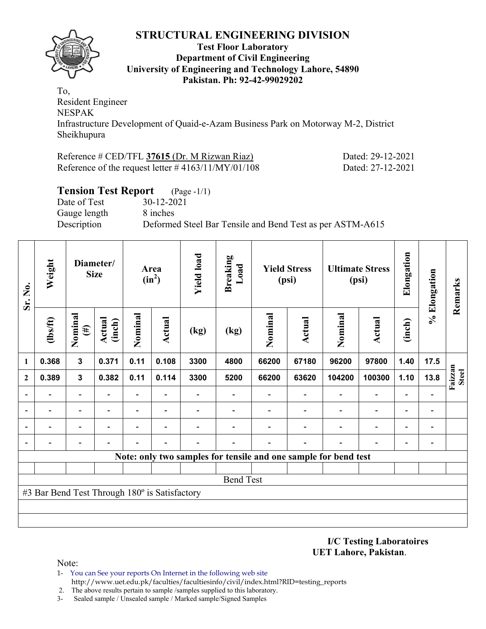

#### **Test Floor Laboratory Department of Civil Engineering University of Engineering and Technology Lahore, 54890 Pakistan. Ph: 92-42-99029202**

To, Resident Engineer NESPAK Infrastructure Development of Quaid-e-Azam Business Park on Motorway M-2, District Sheikhupura

| Reference # CED/TFL 37615 (Dr. M Rizwan Riaz)         |  |
|-------------------------------------------------------|--|
| Reference of the request letter $\#4163/11/MY/01/108$ |  |

Dated: 29-12-2021 Dated: 27-12-2021

| <b>Tension Test Report</b> (Page -1/1) |                                                           |
|----------------------------------------|-----------------------------------------------------------|
| Date of Test                           | 30-12-2021                                                |
| Gauge length                           | 8 inches                                                  |
| Description                            | Deformed Steel Bar Tensile and Bend Test as per ASTM-A615 |

| Weight<br>Sr. No.        |                                               |                          | Diameter/<br><b>Size</b> |                                                                     | Area<br>$(in^2)$ | <b>Yield load</b> | <b>Breaking</b><br>Load |         | <b>Yield Stress</b><br>(psi) |                                                                 | <b>Ultimate Stress</b><br>(psi) | Elongation                   | % Elongation    | Remarks |
|--------------------------|-----------------------------------------------|--------------------------|--------------------------|---------------------------------------------------------------------|------------------|-------------------|-------------------------|---------|------------------------------|-----------------------------------------------------------------|---------------------------------|------------------------------|-----------------|---------|
|                          | (1bs/ft)                                      | Nominal<br>$(\#)$        | Actual<br>(inch)         | Nominal                                                             | <b>Actual</b>    | (kg)              | (kg)                    | Nominal | <b>Actual</b>                | Nominal                                                         | <b>Actual</b>                   | (inch)                       |                 |         |
| 1                        | 0.368                                         | $\mathbf{3}$             | 0.371                    | 0.11                                                                | 0.108            | 3300              | 4800                    | 66200   | 67180                        | 96200                                                           | 97800                           | 1.40                         | 17.5            |         |
| $\mathbf{2}$             | 0.389                                         | $\mathbf{3}$             | 0.382                    | 0.11<br>0.114<br>3300<br>104200<br>100300<br>5200<br>66200<br>63620 |                  |                   |                         |         |                              | 1.10                                                            | 13.8                            | Faizzan<br><b>Steel</b>      |                 |         |
| $\overline{\phantom{0}}$ |                                               |                          |                          | Ξ.                                                                  |                  |                   |                         |         |                              |                                                                 | $\overline{\phantom{0}}$        | $\overline{a}$               |                 |         |
| ۰                        |                                               | $\overline{\phantom{0}}$ |                          | $\overline{\phantom{0}}$                                            | ۰                |                   |                         |         |                              | $\overline{\phantom{0}}$                                        | $\qquad \qquad -$               | $\overline{\phantom{a}}$     | $\overline{a}$  |         |
|                          |                                               |                          |                          | -                                                                   | $\blacksquare$   |                   |                         |         |                              |                                                                 | $\qquad \qquad -$               | $\overline{\phantom{0}}$     | $\overline{a}$  |         |
|                          |                                               |                          |                          |                                                                     |                  |                   |                         |         |                              |                                                                 |                                 | $\qquad \qquad \blacksquare$ | $\qquad \qquad$ |         |
|                          |                                               |                          |                          |                                                                     |                  |                   |                         |         |                              | Note: only two samples for tensile and one sample for bend test |                                 |                              |                 |         |
|                          |                                               |                          |                          |                                                                     |                  |                   |                         |         |                              |                                                                 |                                 |                              |                 |         |
|                          |                                               |                          |                          |                                                                     |                  |                   | <b>Bend Test</b>        |         |                              |                                                                 |                                 |                              |                 |         |
|                          | #3 Bar Bend Test Through 180° is Satisfactory |                          |                          |                                                                     |                  |                   |                         |         |                              |                                                                 |                                 |                              |                 |         |
|                          |                                               |                          |                          |                                                                     |                  |                   |                         |         |                              |                                                                 |                                 |                              |                 |         |
|                          |                                               |                          |                          |                                                                     |                  |                   |                         |         |                              |                                                                 |                                 |                              |                 |         |

**I/C Testing Laboratoires UET Lahore, Pakistan**.

- 1- You can See your reports On Internet in the following web site http://www.uet.edu.pk/faculties/facultiesinfo/civil/index.html?RID=testing\_reports
- 2. The above results pertain to sample /samples supplied to this laboratory.
- 3- Sealed sample / Unsealed sample / Marked sample/Signed Samples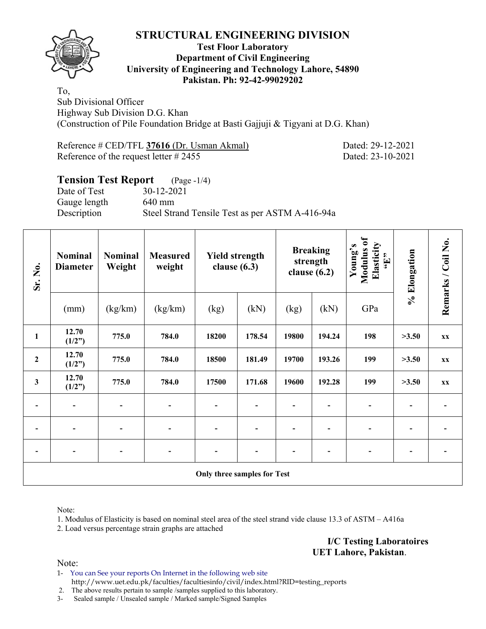

#### **Test Floor Laboratory Department of Civil Engineering University of Engineering and Technology Lahore, 54890 Pakistan. Ph: 92-42-99029202**

To, Sub Divisional Officer Highway Sub Division D.G. Khan (Construction of Pile Foundation Bridge at Basti Gajjuji & Tigyani at D.G. Khan)

Reference # CED/TFL **37616** (Dr. Usman Akmal) Dated: 29-12-2021 Reference of the request letter # 2455 Dated: 23-10-2021

# **Tension Test Report** (Page -1/4)

Date of Test 30-12-2021 Gauge length 640 mm

Description Steel Strand Tensile Test as per ASTM A-416-94a

| Sr. No.        | <b>Nominal</b><br><b>Diameter</b> | <b>Nominal</b><br><b>Measured</b><br>Weight<br>weight |                | <b>Yield strength</b><br>clause $(6.3)$ |        |       | <b>Breaking</b><br>strength<br>clause $(6.2)$ | Modulus of<br>Elasticity<br>Young's<br>$\mathbf{f}$ . | % Elongation | Remarks / Coil No.      |
|----------------|-----------------------------------|-------------------------------------------------------|----------------|-----------------------------------------|--------|-------|-----------------------------------------------|-------------------------------------------------------|--------------|-------------------------|
|                | (mm)                              | (kg/km)                                               | (kg/km)        | (kg)                                    | (kN)   | (kg)  | (kN)                                          | GPa                                                   |              |                         |
| $\mathbf{1}$   | 12.70<br>(1/2")                   | 775.0                                                 | 784.0          | 18200                                   | 178.54 | 19800 | 194.24                                        | 198                                                   | >3.50        | <b>XX</b>               |
| $\overline{2}$ | 12.70<br>(1/2")                   | 775.0                                                 | 784.0          | 18500                                   | 181.49 | 19700 | 193.26                                        | 199                                                   | >3.50        | <b>XX</b>               |
| $\mathbf{3}$   | 12.70<br>(1/2")                   | 775.0                                                 | 784.0          | 17500                                   | 171.68 | 19600 | 192.28                                        | 199                                                   | >3.50        | $\mathbf{X} \mathbf{X}$ |
| $\blacksquare$ | $\overline{\phantom{a}}$          | $\overline{\phantom{a}}$                              | $\overline{a}$ | $\qquad \qquad \blacksquare$            |        |       |                                               | $\overline{\phantom{0}}$                              |              |                         |
|                |                                   |                                                       |                |                                         |        |       |                                               |                                                       |              |                         |
|                |                                   |                                                       |                |                                         |        |       |                                               |                                                       |              |                         |
|                |                                   |                                                       |                | Only three samples for Test             |        |       |                                               |                                                       |              |                         |

Note:

1. Modulus of Elasticity is based on nominal steel area of the steel strand vide clause 13.3 of ASTM – A416a

2. Load versus percentage strain graphs are attached

**I/C Testing Laboratoires UET Lahore, Pakistan**.

Note:

1- You can See your reports On Internet in the following web site http://www.uet.edu.pk/faculties/facultiesinfo/civil/index.html?RID=testing\_reports

2. The above results pertain to sample /samples supplied to this laboratory.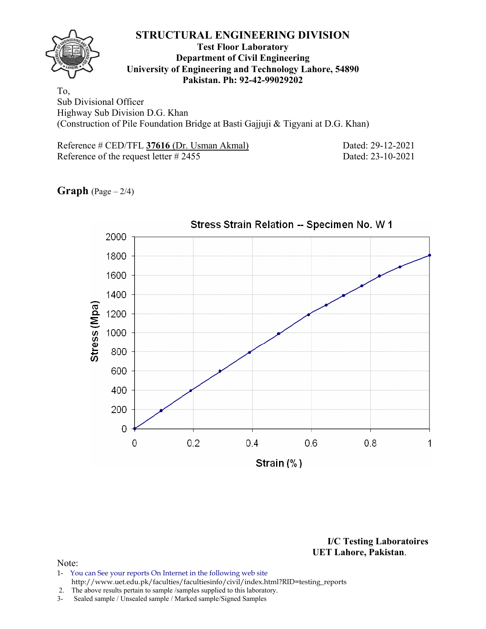

#### **Test Floor Laboratory Department of Civil Engineering University of Engineering and Technology Lahore, 54890 Pakistan. Ph: 92-42-99029202**

To, Sub Divisional Officer Highway Sub Division D.G. Khan (Construction of Pile Foundation Bridge at Basti Gajjuji & Tigyani at D.G. Khan)

Reference # CED/TFL 37616 (Dr. Usman Akmal) Dated: 29-12-2021 Reference of the request letter # 2455 Dated: 23-10-2021

**Graph**  $(Page - 2/4)$ 



**I/C Testing Laboratoires UET Lahore, Pakistan**.

- 1- You can See your reports On Internet in the following web site http://www.uet.edu.pk/faculties/facultiesinfo/civil/index.html?RID=testing\_reports
- 2. The above results pertain to sample /samples supplied to this laboratory.
- 3- Sealed sample / Unsealed sample / Marked sample/Signed Samples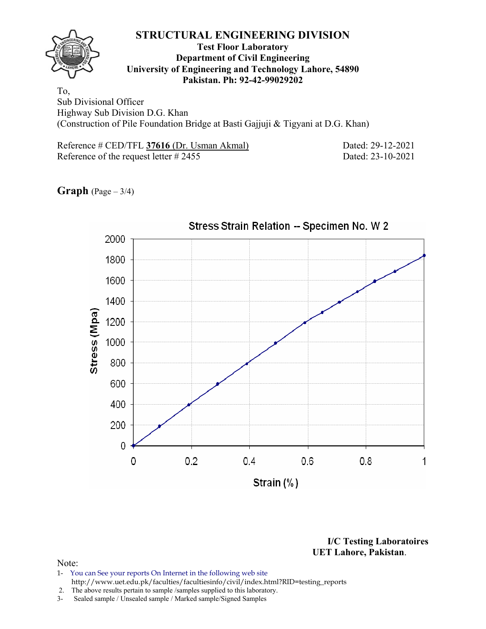

#### **Test Floor Laboratory Department of Civil Engineering University of Engineering and Technology Lahore, 54890 Pakistan. Ph: 92-42-99029202**

To, Sub Divisional Officer Highway Sub Division D.G. Khan (Construction of Pile Foundation Bridge at Basti Gajjuji & Tigyani at D.G. Khan)

Reference # CED/TFL 37616 (Dr. Usman Akmal) Dated: 29-12-2021 Reference of the request letter # 2455 Dated: 23-10-2021

**Graph** (Page – 3/4)



**I/C Testing Laboratoires UET Lahore, Pakistan**.

- 1- You can See your reports On Internet in the following web site http://www.uet.edu.pk/faculties/facultiesinfo/civil/index.html?RID=testing\_reports
- 2. The above results pertain to sample /samples supplied to this laboratory.
- 3- Sealed sample / Unsealed sample / Marked sample/Signed Samples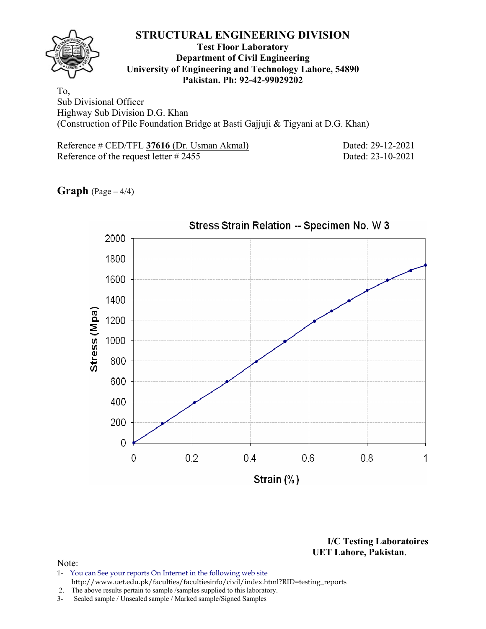

#### **Test Floor Laboratory Department of Civil Engineering University of Engineering and Technology Lahore, 54890 Pakistan. Ph: 92-42-99029202**

To, Sub Divisional Officer Highway Sub Division D.G. Khan (Construction of Pile Foundation Bridge at Basti Gajjuji & Tigyani at D.G. Khan)

Reference # CED/TFL **37616** (Dr. Usman Akmal) Dated: 29-12-2021 Reference of the request letter # 2455 Dated: 23-10-2021

**Graph**  $(Page - 4/4)$ 

![](_page_16_Figure_7.jpeg)

**I/C Testing Laboratoires UET Lahore, Pakistan**.

- 1- You can See your reports On Internet in the following web site http://www.uet.edu.pk/faculties/facultiesinfo/civil/index.html?RID=testing\_reports
- 2. The above results pertain to sample /samples supplied to this laboratory.
- 3- Sealed sample / Unsealed sample / Marked sample/Signed Samples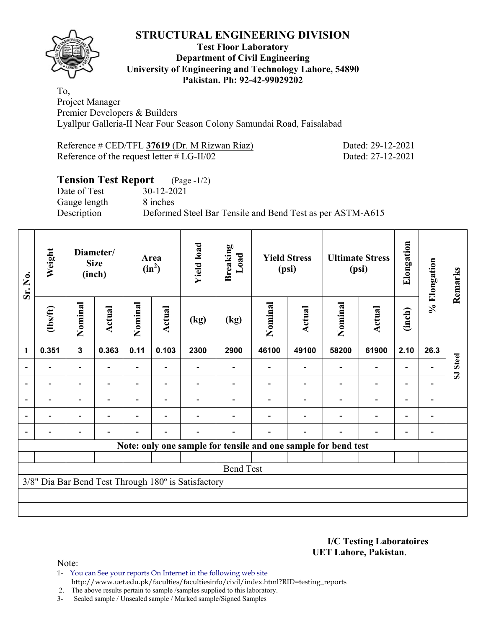![](_page_17_Picture_1.jpeg)

#### **Test Floor Laboratory Department of Civil Engineering University of Engineering and Technology Lahore, 54890 Pakistan. Ph: 92-42-99029202**

To, Project Manager Premier Developers & Builders Lyallpur Galleria-II Near Four Season Colony Samundai Road, Faisalabad

Reference # CED/TFL **37619** (Dr. M Rizwan Riaz) Dated: 29-12-2021 Reference of the request letter # LG-II/02 Dated: 27-12-2021

# **Tension Test Report** (Page -1/2) Date of Test 30-12-2021 Gauge length 8 inches Description Deformed Steel Bar Tensile and Bend Test as per ASTM-A615

| Sr. No.                  | Weight         | <b>Size</b><br>(inch)    |        |         |        | Diameter/                                           |                                                                |         |        |         | Area<br>$(in^2)$         | <b>Yield load</b>        | <b>Breaking</b><br>Load |          | <b>Yield Stress</b><br>(psi) |  | <b>Ultimate Stress</b><br>(psi) | Elongation | % Elongation | Remarks |
|--------------------------|----------------|--------------------------|--------|---------|--------|-----------------------------------------------------|----------------------------------------------------------------|---------|--------|---------|--------------------------|--------------------------|-------------------------|----------|------------------------------|--|---------------------------------|------------|--------------|---------|
|                          | $\frac{2}{10}$ | Nominal                  | Actual | Nominal | Actual | (kg)                                                | (kg)                                                           | Nominal | Actual | Nominal | <b>Actual</b>            | (inch)                   |                         |          |                              |  |                                 |            |              |         |
| $\mathbf{1}$             | 0.351          | $\overline{\mathbf{3}}$  | 0.363  | 0.11    | 0.103  | 2300                                                | 2900                                                           | 46100   | 49100  | 58200   | 61900                    | 2.10                     | 26.3                    |          |                              |  |                                 |            |              |         |
| $\overline{\phantom{0}}$ |                | Ξ.                       |        |         |        |                                                     |                                                                |         |        |         | $\overline{\phantom{0}}$ | $\overline{a}$           |                         | SJ Steel |                              |  |                                 |            |              |         |
| $\overline{\phantom{0}}$ |                |                          |        |         |        |                                                     |                                                                |         |        |         | $\overline{\phantom{0}}$ |                          |                         |          |                              |  |                                 |            |              |         |
| $\overline{\phantom{a}}$ |                | $\overline{\phantom{0}}$ |        |         |        |                                                     |                                                                |         |        |         | $\overline{\phantom{0}}$ | $\overline{\phantom{a}}$ |                         |          |                              |  |                                 |            |              |         |
| $\overline{\phantom{a}}$ |                | $\overline{\phantom{0}}$ |        |         |        |                                                     |                                                                |         |        |         | $\overline{\phantom{0}}$ | $\overline{\phantom{a}}$ |                         |          |                              |  |                                 |            |              |         |
|                          |                |                          |        |         |        |                                                     |                                                                |         |        |         | $\overline{\phantom{0}}$ | $\overline{\phantom{0}}$ |                         |          |                              |  |                                 |            |              |         |
|                          |                |                          |        |         |        |                                                     | Note: only one sample for tensile and one sample for bend test |         |        |         |                          |                          |                         |          |                              |  |                                 |            |              |         |
|                          |                |                          |        |         |        |                                                     | <b>Bend Test</b>                                               |         |        |         |                          |                          |                         |          |                              |  |                                 |            |              |         |
|                          |                |                          |        |         |        | 3/8" Dia Bar Bend Test Through 180° is Satisfactory |                                                                |         |        |         |                          |                          |                         |          |                              |  |                                 |            |              |         |
|                          |                |                          |        |         |        |                                                     |                                                                |         |        |         |                          |                          |                         |          |                              |  |                                 |            |              |         |

**I/C Testing Laboratoires UET Lahore, Pakistan**.

- 1- You can See your reports On Internet in the following web site http://www.uet.edu.pk/faculties/facultiesinfo/civil/index.html?RID=testing\_reports
- 2. The above results pertain to sample /samples supplied to this laboratory.
- 3- Sealed sample / Unsealed sample / Marked sample/Signed Samples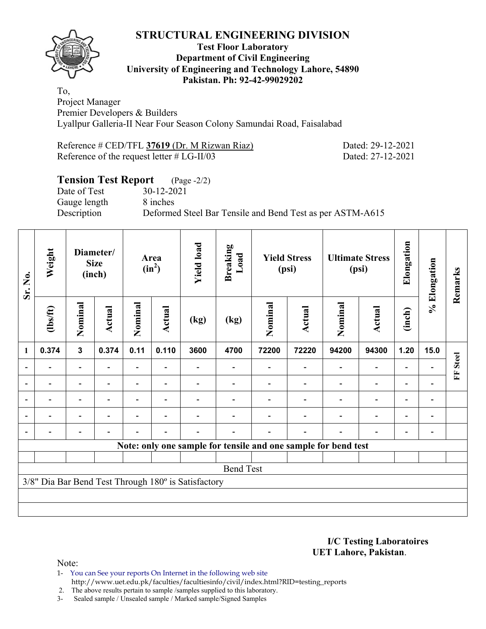![](_page_18_Picture_1.jpeg)

#### **Test Floor Laboratory Department of Civil Engineering University of Engineering and Technology Lahore, 54890 Pakistan. Ph: 92-42-99029202**

To, Project Manager Premier Developers & Builders Lyallpur Galleria-II Near Four Season Colony Samundai Road, Faisalabad

Reference # CED/TFL **37619** (Dr. M Rizwan Riaz) Dated: 29-12-2021 Reference of the request letter # LG-II/03 Dated: 27-12-2021

# **Tension Test Report** (Page -2/2) Date of Test 30-12-2021 Gauge length 8 inches Description Deformed Steel Bar Tensile and Bend Test as per ASTM-A615

| Sr. No.                  | Weight         | Diameter/<br><b>Size</b><br>(inch) |        |         | Area<br>$(in^2)$         | <b>Yield load</b>                                   | <b>Breaking</b><br>Load                                        |         | <b>Yield Stress</b><br>(psi) |         | <b>Ultimate Stress</b><br>(psi) | Elongation               | % Elongation   | Remarks           |
|--------------------------|----------------|------------------------------------|--------|---------|--------------------------|-----------------------------------------------------|----------------------------------------------------------------|---------|------------------------------|---------|---------------------------------|--------------------------|----------------|-------------------|
|                          | $\frac{2}{10}$ | Nominal                            | Actual | Nominal | Actual                   | (kg)                                                | (kg)                                                           | Nominal | Actual                       | Nominal | <b>Actual</b>                   | (inch)                   |                |                   |
| $\mathbf{1}$             | 0.374          | $\overline{\mathbf{3}}$            | 0.374  | 0.11    | 0.110                    | 3600                                                | 4700                                                           | 72200   | 72220                        | 94200   | 94300                           | 1.20                     | 15.0           |                   |
| $\overline{\phantom{0}}$ |                | Ξ.                                 |        |         |                          |                                                     |                                                                |         |                              |         | $\overline{\phantom{0}}$        | $\overline{\phantom{0}}$ |                | <b>Steel</b><br>E |
| $\overline{\phantom{0}}$ |                |                                    |        |         |                          |                                                     |                                                                |         |                              |         | $\overline{\phantom{0}}$        |                          |                |                   |
| $\overline{\phantom{a}}$ |                | $\overline{\phantom{0}}$           |        |         | $\overline{\phantom{0}}$ |                                                     |                                                                |         |                              |         | $\overline{\phantom{a}}$        | $\overline{\phantom{a}}$ | $\blacksquare$ |                   |
| $\overline{\phantom{a}}$ |                | $\blacksquare$                     |        |         |                          |                                                     |                                                                |         |                              |         | $\overline{\phantom{0}}$        | $\overline{\phantom{0}}$ |                |                   |
|                          |                |                                    |        |         | $\overline{\phantom{0}}$ |                                                     |                                                                |         |                              |         | $\overline{\phantom{0}}$        | $\overline{a}$           |                |                   |
|                          |                |                                    |        |         |                          |                                                     | Note: only one sample for tensile and one sample for bend test |         |                              |         |                                 |                          |                |                   |
|                          |                |                                    |        |         |                          |                                                     | <b>Bend Test</b>                                               |         |                              |         |                                 |                          |                |                   |
|                          |                |                                    |        |         |                          | 3/8" Dia Bar Bend Test Through 180° is Satisfactory |                                                                |         |                              |         |                                 |                          |                |                   |
|                          |                |                                    |        |         |                          |                                                     |                                                                |         |                              |         |                                 |                          |                |                   |
|                          |                |                                    |        |         |                          |                                                     |                                                                |         |                              |         |                                 |                          |                |                   |

**I/C Testing Laboratoires UET Lahore, Pakistan**.

Note:

1- You can See your reports On Internet in the following web site http://www.uet.edu.pk/faculties/facultiesinfo/civil/index.html?RID=testing\_reports

2. The above results pertain to sample /samples supplied to this laboratory.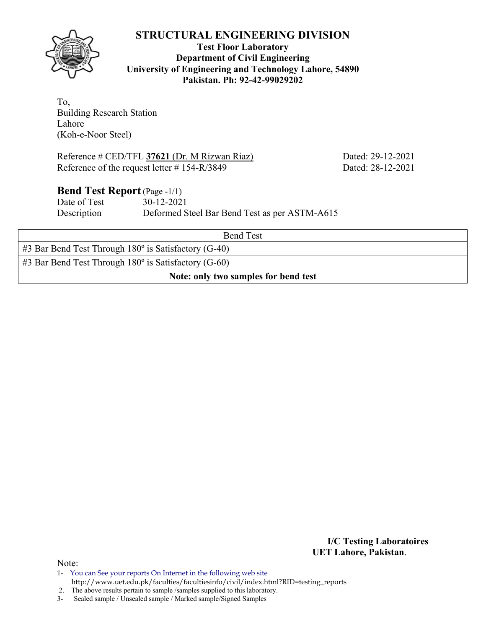**Test Floor Laboratory Department of Civil Engineering University of Engineering and Technology Lahore, 54890 Pakistan. Ph: 92-42-99029202** 

To, Building Research Station Lahore

(Koh-e-Noor Steel)

Reference # CED/TFL **37621** (Dr. M Rizwan Riaz) Dated: 29-12-2021 Reference of the request letter # 154-R/3849 Dated: 28-12-2021

## **Bend Test Report** (Page -1/1)

Date of Test 30-12-2021 Description Deformed Steel Bar Bend Test as per ASTM-A615

| <b>Bend Test</b>                                                 |
|------------------------------------------------------------------|
| $\#3$ Bar Bend Test Through 180 $\degree$ is Satisfactory (G-40) |
| $\#3$ Bar Bend Test Through 180 $\degree$ is Satisfactory (G-60) |
| Note: only two samples for bend test                             |

**I/C Testing Laboratoires UET Lahore, Pakistan**.

Note:

2. The above results pertain to sample /samples supplied to this laboratory.

![](_page_19_Picture_12.jpeg)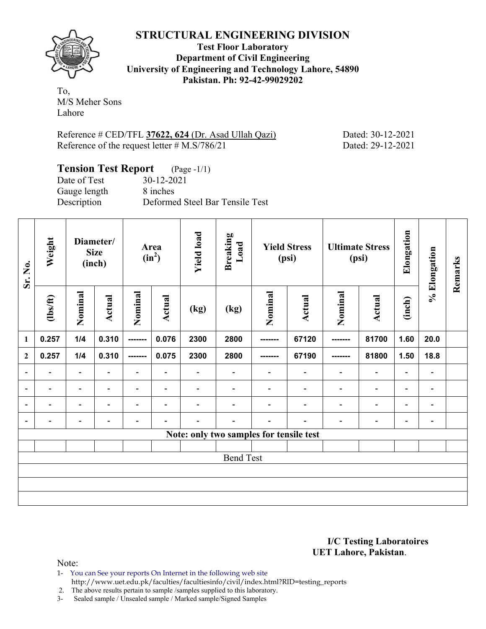![](_page_20_Picture_0.jpeg)

**Test Floor Laboratory Department of Civil Engineering University of Engineering and Technology Lahore, 54890 Pakistan. Ph: 92-42-99029202** 

To, M/S Meher Sons Lahore

Reference # CED/TFL **37622, 624** (Dr. Asad Ullah Qazi) Dated: 30-12-2021 Reference of the request letter # M.S/786/21 Dated: 29-12-2021

#### **Tension Test Report** (Page -1/1) Date of Test 30-12-2021 Gauge length 8 inches Description Deformed Steel Bar Tensile Test

| Sr. No.                  | Weight                   |                          | Diameter/<br><b>Size</b><br>(inch) |                          | Area<br>$(in^2)$         | <b>Yield load</b>        | <b>Breaking</b><br>Load                 |          | <b>Yield Stress</b><br>(psi) |                          | <b>Ultimate Stress</b><br>(psi) | Elongation               | % Elongation             | Remarks |
|--------------------------|--------------------------|--------------------------|------------------------------------|--------------------------|--------------------------|--------------------------|-----------------------------------------|----------|------------------------------|--------------------------|---------------------------------|--------------------------|--------------------------|---------|
|                          | $\frac{2}{10}$           | Nominal                  | Actual                             | Nominal                  | Actual                   | (kg)                     | (kg)                                    | Nominal  | <b>Actual</b>                | Nominal                  | <b>Actual</b>                   | (inch)                   |                          |         |
| $\mathbf{1}$             | 0.257                    | 1/4                      | 0.310                              | --------                 | 0.076                    | 2300                     | 2800                                    | -------- | 67120                        | -------                  | 81700                           | 1.60                     | 20.0                     |         |
| $\overline{2}$           | 0.257                    | 1/4                      | 0.310                              | --------                 | 0.075                    | 2300                     | 2800                                    |          | 67190                        | -------                  | 81800                           | 1.50                     | 18.8                     |         |
| $\overline{\phantom{a}}$ | $\overline{\phantom{a}}$ | $\overline{\phantom{a}}$ | $\overline{\phantom{0}}$           | $\overline{\phantom{a}}$ | $\blacksquare$           | $\overline{\phantom{0}}$ | $\overline{\phantom{a}}$                |          | $\overline{\phantom{a}}$     | $\overline{\phantom{0}}$ | $\overline{\phantom{a}}$        | $\overline{\phantom{0}}$ | $\blacksquare$           |         |
| $\overline{\phantom{a}}$ | $\blacksquare$           | $\overline{\phantom{a}}$ | $\blacksquare$                     | $\blacksquare$           | $\blacksquare$           |                          |                                         |          | $\blacksquare$               | $\blacksquare$           | $\overline{\phantom{0}}$        | $\blacksquare$           | $\blacksquare$           |         |
| $\overline{\phantom{a}}$ | $\overline{\phantom{0}}$ | $\overline{\phantom{a}}$ | $\blacksquare$                     |                          | $\overline{\phantom{0}}$ | $\overline{\phantom{0}}$ |                                         |          | $\overline{\phantom{0}}$     | $\blacksquare$           | $\overline{\phantom{0}}$        | $\overline{\phantom{0}}$ | $\overline{\phantom{a}}$ |         |
| $\overline{\phantom{a}}$ | $\blacksquare$           | $\overline{\phantom{a}}$ | $\overline{\phantom{0}}$           | $\overline{\phantom{a}}$ |                          |                          | $\overline{\phantom{0}}$                |          | $\overline{\phantom{0}}$     |                          | $\overline{\phantom{0}}$        | $\overline{\phantom{0}}$ | $\blacksquare$           |         |
|                          |                          |                          |                                    |                          |                          |                          | Note: only two samples for tensile test |          |                              |                          |                                 |                          |                          |         |
|                          |                          |                          |                                    |                          |                          |                          |                                         |          |                              |                          |                                 |                          |                          |         |
|                          |                          |                          |                                    |                          |                          |                          | <b>Bend Test</b>                        |          |                              |                          |                                 |                          |                          |         |
|                          |                          |                          |                                    |                          |                          |                          |                                         |          |                              |                          |                                 |                          |                          |         |
|                          |                          |                          |                                    |                          |                          |                          |                                         |          |                              |                          |                                 |                          |                          |         |
|                          |                          |                          |                                    |                          |                          |                          |                                         |          |                              |                          |                                 |                          |                          |         |

#### **I/C Testing Laboratoires UET Lahore, Pakistan**.

- 1- You can See your reports On Internet in the following web site
	- http://www.uet.edu.pk/faculties/facultiesinfo/civil/index.html?RID=testing\_reports
- 2. The above results pertain to sample /samples supplied to this laboratory.
- 3- Sealed sample / Unsealed sample / Marked sample/Signed Samples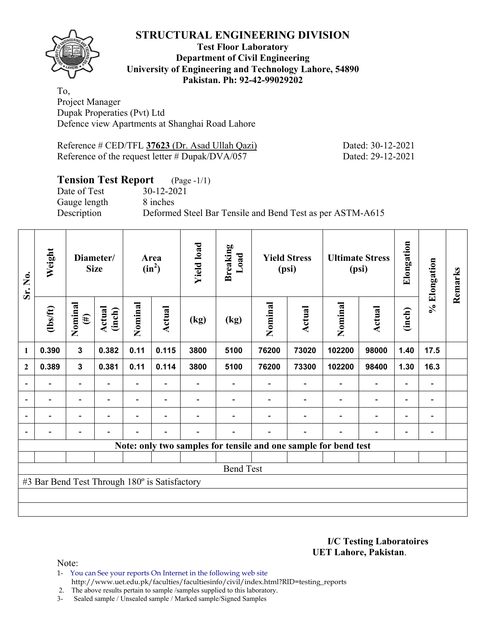**Test Floor Laboratory Department of Civil Engineering University of Engineering and Technology Lahore, 54890 Pakistan. Ph: 92-42-99029202** 

To, Project Manager Dupak Properaties (Pvt) Ltd Defence view Apartments at Shanghai Road Lahore

Reference # CED/TFL **37623** (Dr. Asad Ullah Qazi) Dated: 30-12-2021 Reference of the request letter # Dupak/DVA/057 Dated: 29-12-2021

# **Tension Test Report** (Page -1/1)

Date of Test 30-12-2021 Gauge length 8 inches

Description Deformed Steel Bar Tensile and Bend Test as per ASTM-A615

| Weight<br>Sr. No.        |                                               | Diameter/<br><b>Size</b> |                  |         | Area<br>$(in^2)$         | <b>Yield load</b> | <b>Breaking</b><br>Load |         | <b>Yield Stress</b><br>(psi) | (psi)                                                           | <b>Ultimate Stress</b>   | Elongation               | % Elongation                 | Remarks |
|--------------------------|-----------------------------------------------|--------------------------|------------------|---------|--------------------------|-------------------|-------------------------|---------|------------------------------|-----------------------------------------------------------------|--------------------------|--------------------------|------------------------------|---------|
|                          | $\frac{2}{10}$                                | Nominal<br>$(\#)$        | Actual<br>(inch) | Nominal | <b>Actual</b>            | (kg)              | (kg)                    | Nominal | Actual                       | Nominal                                                         | <b>Actual</b>            | (inch)                   |                              |         |
| $\mathbf{1}$             | 0.390                                         | $\mathbf{3}$             | 0.382            | 0.11    | 0.115                    | 3800              | 5100                    | 76200   | 73020                        | 102200                                                          | 98000                    | 1.40                     | 17.5                         |         |
| $\mathbf{2}$             | 0.389                                         | $\mathbf{3}$             | 0.381            | 0.11    | 0.114                    | 3800              | 5100                    | 76200   | 73300                        | 102200                                                          | 98400                    | 1.30                     | 16.3                         |         |
|                          |                                               | $\overline{\phantom{0}}$ |                  |         |                          |                   |                         |         |                              |                                                                 | $\overline{a}$           |                          |                              |         |
| $\overline{\phantom{0}}$ |                                               | -                        |                  |         | $\blacksquare$           |                   |                         |         |                              |                                                                 | $\overline{\phantom{0}}$ | $\overline{\phantom{0}}$ | $\qquad \qquad \blacksquare$ |         |
| $\blacksquare$           |                                               | $\overline{\phantom{a}}$ | $\blacksquare$   |         | $\overline{\phantom{a}}$ |                   |                         |         |                              | $\blacksquare$                                                  | $\overline{a}$           | $\overline{\phantom{0}}$ | $\blacksquare$               |         |
|                          | -                                             | -                        |                  |         | $\blacksquare$           | -                 |                         |         | ۰                            | $\blacksquare$                                                  | $\overline{a}$           | $\overline{\phantom{a}}$ | $\overline{\phantom{0}}$     |         |
|                          |                                               |                          |                  |         |                          |                   |                         |         |                              | Note: only two samples for tensile and one sample for bend test |                          |                          |                              |         |
|                          |                                               |                          |                  |         |                          |                   |                         |         |                              |                                                                 |                          |                          |                              |         |
|                          |                                               |                          |                  |         |                          |                   | <b>Bend Test</b>        |         |                              |                                                                 |                          |                          |                              |         |
|                          | #3 Bar Bend Test Through 180° is Satisfactory |                          |                  |         |                          |                   |                         |         |                              |                                                                 |                          |                          |                              |         |
|                          |                                               |                          |                  |         |                          |                   |                         |         |                              |                                                                 |                          |                          |                              |         |
|                          |                                               |                          |                  |         |                          |                   |                         |         |                              |                                                                 |                          |                          |                              |         |

**I/C Testing Laboratoires UET Lahore, Pakistan**.

Note:

1- You can See your reports On Internet in the following web site http://www.uet.edu.pk/faculties/facultiesinfo/civil/index.html?RID=testing\_reports

2. The above results pertain to sample /samples supplied to this laboratory.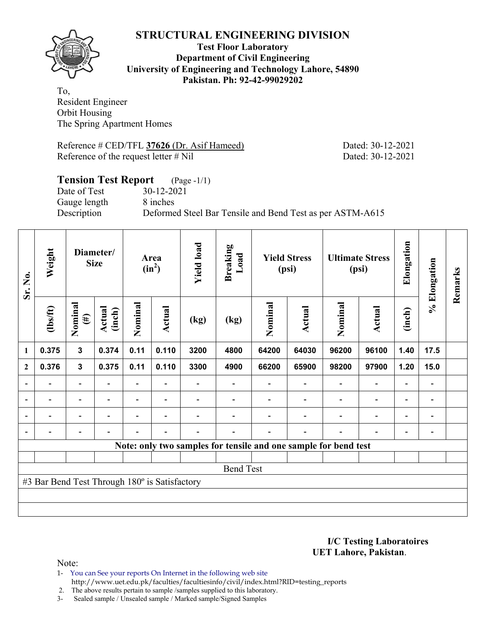![](_page_22_Picture_1.jpeg)

#### **Test Floor Laboratory Department of Civil Engineering University of Engineering and Technology Lahore, 54890 Pakistan. Ph: 92-42-99029202**

To, Resident Engineer Orbit Housing The Spring Apartment Homes

Reference # CED/TFL **37626** (Dr. Asif Hameed) Dated: 30-12-2021 Reference of the request letter # Nil Dated: 30-12-2021

# **Tension Test Report** (Page -1/1) Date of Test 30-12-2021 Gauge length 8 inches Description Deformed Steel Bar Tensile and Bend Test as per ASTM-A615

| Sr. No.                  | Weight<br>Diameter/<br><b>Size</b>            |                          |                  | Area<br>$(in^2)$         | <b>Yield load</b>        | <b>Breaking</b><br>Load  |                                                                 | <b>Yield Stress</b><br>(psi) |                          | <b>Ultimate Stress</b><br>(psi) | Elongation                   | % Elongation             | Remarks                      |  |
|--------------------------|-----------------------------------------------|--------------------------|------------------|--------------------------|--------------------------|--------------------------|-----------------------------------------------------------------|------------------------------|--------------------------|---------------------------------|------------------------------|--------------------------|------------------------------|--|
|                          | $\frac{2}{10}$                                | Nominal<br>$(\#)$        | Actual<br>(inch) | Nominal                  | Actual                   | (kg)                     | (kg)                                                            | Nominal                      | <b>Actual</b>            | Nominal                         | <b>Actual</b>                | (inch)                   |                              |  |
| 1                        | 0.375                                         | $\mathbf{3}$             | 0.374            | 0.11                     | 0.110                    | 3200                     | 4800                                                            | 64200                        | 64030                    | 96200                           | 96100                        | 1.40                     | 17.5                         |  |
| $\mathbf{2}$             | 0.376                                         | $\mathbf{3}$             | 0.375            | 0.11                     | 0.110                    | 3300                     | 4900                                                            | 66200                        | 65900                    | 98200                           | 97900                        | 1.20                     | 15.0                         |  |
|                          |                                               | $\overline{\phantom{0}}$ |                  |                          |                          |                          |                                                                 |                              |                          |                                 | $\qquad \qquad \blacksquare$ | $\overline{\phantom{0}}$ |                              |  |
| $\overline{\phantom{0}}$ | $\overline{\phantom{0}}$                      | $\overline{\phantom{a}}$ | $\blacksquare$   |                          | $\blacksquare$           |                          |                                                                 |                              | $\blacksquare$           | $\blacksquare$                  | $\qquad \qquad \blacksquare$ | $\overline{\phantom{a}}$ | $\blacksquare$               |  |
|                          | $\overline{\phantom{0}}$                      | $\overline{\phantom{a}}$ |                  | $\blacksquare$           | ۰                        |                          |                                                                 |                              | $\blacksquare$           | ۰                               | $\overline{\phantom{0}}$     | $\overline{\phantom{0}}$ | $\blacksquare$               |  |
|                          | $\overline{\phantom{0}}$                      | -                        |                  | $\overline{\phantom{0}}$ | $\overline{\phantom{0}}$ | $\overline{\phantom{0}}$ |                                                                 |                              | $\overline{\phantom{0}}$ | $\blacksquare$                  | $\qquad \qquad \blacksquare$ | $\overline{\phantom{0}}$ | $\qquad \qquad \blacksquare$ |  |
|                          |                                               |                          |                  |                          |                          |                          | Note: only two samples for tensile and one sample for bend test |                              |                          |                                 |                              |                          |                              |  |
|                          |                                               |                          |                  |                          |                          |                          |                                                                 |                              |                          |                                 |                              |                          |                              |  |
|                          |                                               |                          |                  |                          |                          |                          | <b>Bend Test</b>                                                |                              |                          |                                 |                              |                          |                              |  |
|                          | #3 Bar Bend Test Through 180° is Satisfactory |                          |                  |                          |                          |                          |                                                                 |                              |                          |                                 |                              |                          |                              |  |
|                          |                                               |                          |                  |                          |                          |                          |                                                                 |                              |                          |                                 |                              |                          |                              |  |
|                          |                                               |                          |                  |                          |                          |                          |                                                                 |                              |                          |                                 |                              |                          |                              |  |

**I/C Testing Laboratoires UET Lahore, Pakistan**.

Note:

1- You can See your reports On Internet in the following web site http://www.uet.edu.pk/faculties/facultiesinfo/civil/index.html?RID=testing\_reports

2. The above results pertain to sample /samples supplied to this laboratory.